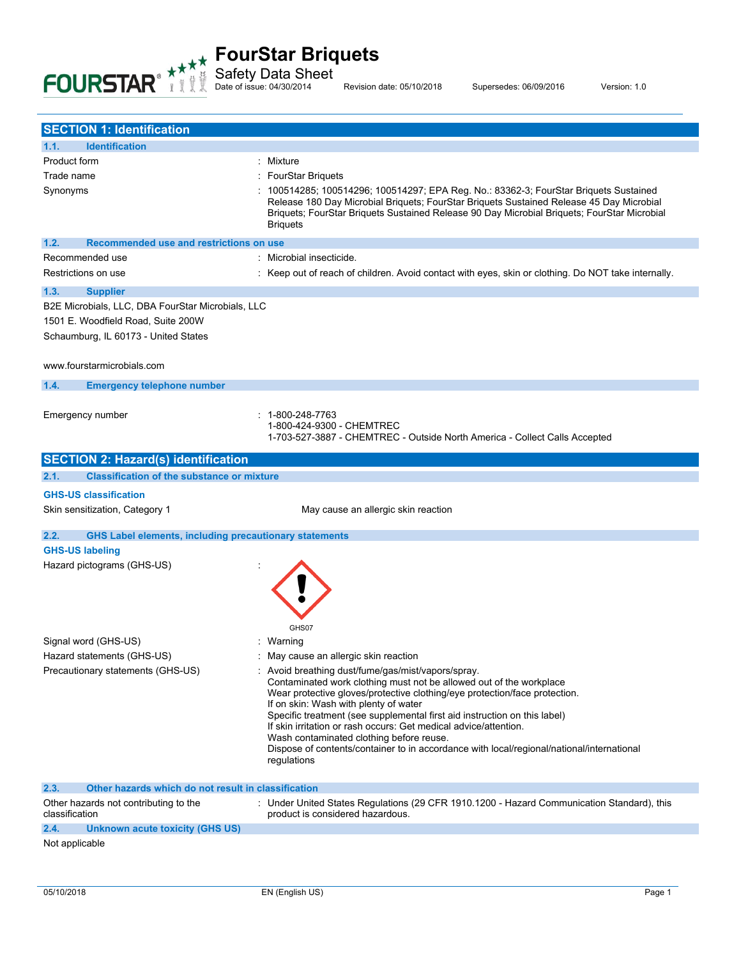

Safety Data Sheet

Date of issue: 04/30/2014 Revision date: 05/10/2018 Supersedes: 06/09/2016 Version: 1.0

| <b>SECTION 1: Identification</b>                                      |                                                                                                                                                                                                                                                                                                                                                                                                                                                                                                                                                           |
|-----------------------------------------------------------------------|-----------------------------------------------------------------------------------------------------------------------------------------------------------------------------------------------------------------------------------------------------------------------------------------------------------------------------------------------------------------------------------------------------------------------------------------------------------------------------------------------------------------------------------------------------------|
| <b>Identification</b><br>1.1.                                         |                                                                                                                                                                                                                                                                                                                                                                                                                                                                                                                                                           |
| Product form                                                          | : Mixture                                                                                                                                                                                                                                                                                                                                                                                                                                                                                                                                                 |
| Trade name                                                            | <b>FourStar Briquets</b>                                                                                                                                                                                                                                                                                                                                                                                                                                                                                                                                  |
| Synonyms                                                              | 100514285; 100514296; 100514297; EPA Reg. No.: 83362-3; FourStar Briquets Sustained<br>Release 180 Day Microbial Briguets; FourStar Briguets Sustained Release 45 Day Microbial<br>Briquets; FourStar Briquets Sustained Release 90 Day Microbial Briquets; FourStar Microbial<br><b>Briquets</b>                                                                                                                                                                                                                                                         |
| 1.2.<br>Recommended use and restrictions on use                       |                                                                                                                                                                                                                                                                                                                                                                                                                                                                                                                                                           |
| Recommended use                                                       | Microbial insecticide.                                                                                                                                                                                                                                                                                                                                                                                                                                                                                                                                    |
| Restrictions on use                                                   | Keep out of reach of children. Avoid contact with eyes, skin or clothing. Do NOT take internally.                                                                                                                                                                                                                                                                                                                                                                                                                                                         |
| 1.3.<br><b>Supplier</b>                                               |                                                                                                                                                                                                                                                                                                                                                                                                                                                                                                                                                           |
| B2E Microbials, LLC, DBA FourStar Microbials, LLC                     |                                                                                                                                                                                                                                                                                                                                                                                                                                                                                                                                                           |
| 1501 E. Woodfield Road, Suite 200W                                    |                                                                                                                                                                                                                                                                                                                                                                                                                                                                                                                                                           |
| Schaumburg, IL 60173 - United States                                  |                                                                                                                                                                                                                                                                                                                                                                                                                                                                                                                                                           |
| www.fourstarmicrobials.com                                            |                                                                                                                                                                                                                                                                                                                                                                                                                                                                                                                                                           |
| 1.4.                                                                  |                                                                                                                                                                                                                                                                                                                                                                                                                                                                                                                                                           |
| <b>Emergency telephone number</b>                                     |                                                                                                                                                                                                                                                                                                                                                                                                                                                                                                                                                           |
| Emergency number                                                      | $: 1 - 800 - 248 - 7763$<br>1-800-424-9300 - CHEMTREC<br>1-703-527-3887 - CHEMTREC - Outside North America - Collect Calls Accepted                                                                                                                                                                                                                                                                                                                                                                                                                       |
| <b>SECTION 2: Hazard(s) identification</b>                            |                                                                                                                                                                                                                                                                                                                                                                                                                                                                                                                                                           |
| <b>Classification of the substance or mixture</b><br>2.1.             |                                                                                                                                                                                                                                                                                                                                                                                                                                                                                                                                                           |
| <b>GHS-US classification</b>                                          |                                                                                                                                                                                                                                                                                                                                                                                                                                                                                                                                                           |
|                                                                       |                                                                                                                                                                                                                                                                                                                                                                                                                                                                                                                                                           |
| Skin sensitization, Category 1                                        | May cause an allergic skin reaction                                                                                                                                                                                                                                                                                                                                                                                                                                                                                                                       |
| 2.2.<br><b>GHS Label elements, including precautionary statements</b> |                                                                                                                                                                                                                                                                                                                                                                                                                                                                                                                                                           |
| <b>GHS-US labeling</b>                                                |                                                                                                                                                                                                                                                                                                                                                                                                                                                                                                                                                           |
| Hazard pictograms (GHS-US)                                            |                                                                                                                                                                                                                                                                                                                                                                                                                                                                                                                                                           |
| Signal word (GHS-US)                                                  | GHS07<br>: Warning                                                                                                                                                                                                                                                                                                                                                                                                                                                                                                                                        |
| Hazard statements (GHS-US)                                            | May cause an allergic skin reaction                                                                                                                                                                                                                                                                                                                                                                                                                                                                                                                       |
| Precautionary statements (GHS-US)                                     | : Avoid breathing dust/fume/gas/mist/vapors/spray.<br>Contaminated work clothing must not be allowed out of the workplace<br>Wear protective gloves/protective clothing/eye protection/face protection.<br>If on skin: Wash with plenty of water<br>Specific treatment (see supplemental first aid instruction on this label)<br>If skin irritation or rash occurs: Get medical advice/attention.<br>Wash contaminated clothing before reuse.<br>Dispose of contents/container to in accordance with local/regional/national/international<br>regulations |
| 2.3.<br>Other hazards which do not result in classification           |                                                                                                                                                                                                                                                                                                                                                                                                                                                                                                                                                           |
| Other hazards not contributing to the<br>classification               | : Under United States Regulations (29 CFR 1910.1200 - Hazard Communication Standard), this<br>product is considered hazardous.                                                                                                                                                                                                                                                                                                                                                                                                                            |
| 2.4.<br><b>Unknown acute toxicity (GHS US)</b>                        |                                                                                                                                                                                                                                                                                                                                                                                                                                                                                                                                                           |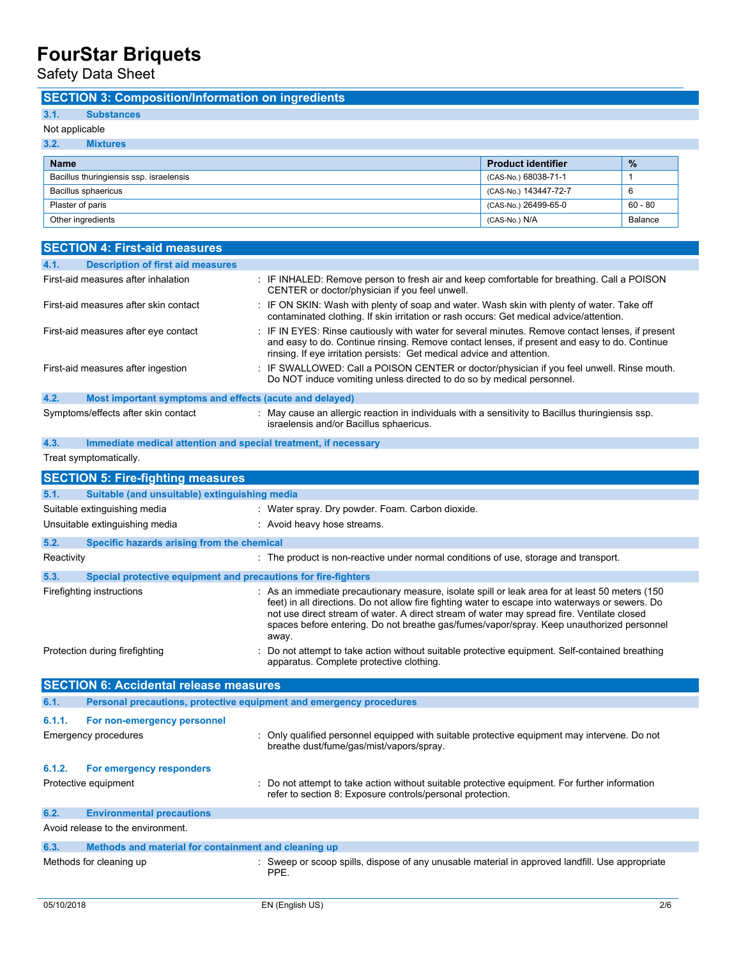Safety Data Sheet

### **SECTION 3: Composition/Information on ingredients**

## **3.1. Substances**

## Not applicable

| 3.2.<br><b>Mixtures</b>                 |                           |           |
|-----------------------------------------|---------------------------|-----------|
| <b>Name</b>                             | <b>Product identifier</b> | $\%$      |
| Bacillus thuringiensis ssp. israelensis | (CAS-No.) 68038-71-1      |           |
| Bacillus sphaericus                     | (CAS-No.) 143447-72-7     | -6        |
| Plaster of paris                        | (CAS-No.) 26499-65-0      | $60 - 80$ |
| Other ingredients                       | (CAS-No.) N/A             | Balance   |

|      | <b>SECTION 4: First-aid measures</b>                            |                                                                                                                                                                                                                                                                            |
|------|-----------------------------------------------------------------|----------------------------------------------------------------------------------------------------------------------------------------------------------------------------------------------------------------------------------------------------------------------------|
| 4.1. | <b>Description of first aid measures</b>                        |                                                                                                                                                                                                                                                                            |
|      | First-aid measures after inhalation                             | : IF INHALED: Remove person to fresh air and keep comfortable for breathing. Call a POISON<br>CENTER or doctor/physician if you feel unwell.                                                                                                                               |
|      | First-aid measures after skin contact                           | : IF ON SKIN: Wash with plenty of soap and water. Wash skin with plenty of water. Take off<br>contaminated clothing. If skin irritation or rash occurs: Get medical advice/attention.                                                                                      |
|      | First-aid measures after eye contact                            | : IF IN EYES: Rinse cautiously with water for several minutes. Remove contact lenses, if present<br>and easy to do. Continue rinsing. Remove contact lenses, if present and easy to do. Continue<br>rinsing. If eye irritation persists: Get medical advice and attention. |
|      | First-aid measures after ingestion                              | : IF SWALLOWED: Call a POISON CENTER or doctor/physician if you feel unwell. Rinse mouth.<br>Do NOT induce vomiting unless directed to do so by medical personnel.                                                                                                         |
| 4.2. | Most important symptoms and effects (acute and delayed)         |                                                                                                                                                                                                                                                                            |
|      | Symptoms/effects after skin contact                             | : May cause an allergic reaction in individuals with a sensitivity to Bacillus thuringiensis ssp.<br>israelensis and/or Bacillus sphaericus.                                                                                                                               |
| 4.3. | Immediate medical attention and special treatment, if necessary |                                                                                                                                                                                                                                                                            |

Treat symptomatically.

| <b>SECTION 5: Fire-fighting measures</b>                               |                                                                                                                                                                                                                                                                                                                                                                                                         |
|------------------------------------------------------------------------|---------------------------------------------------------------------------------------------------------------------------------------------------------------------------------------------------------------------------------------------------------------------------------------------------------------------------------------------------------------------------------------------------------|
| Suitable (and unsuitable) extinguishing media<br>5.1.                  |                                                                                                                                                                                                                                                                                                                                                                                                         |
| Suitable extinguishing media                                           | : Water spray. Dry powder. Foam. Carbon dioxide.                                                                                                                                                                                                                                                                                                                                                        |
| Unsuitable extinguishing media                                         | : Avoid heavy hose streams.                                                                                                                                                                                                                                                                                                                                                                             |
| 5.2.<br>Specific hazards arising from the chemical                     |                                                                                                                                                                                                                                                                                                                                                                                                         |
| Reactivity                                                             | : The product is non-reactive under normal conditions of use, storage and transport.                                                                                                                                                                                                                                                                                                                    |
| 5.3.<br>Special protective equipment and precautions for fire-fighters |                                                                                                                                                                                                                                                                                                                                                                                                         |
| Firefighting instructions                                              | : As an immediate precautionary measure, isolate spill or leak area for at least 50 meters (150<br>feet) in all directions. Do not allow fire fighting water to escape into waterways or sewers. Do<br>not use direct stream of water. A direct stream of water may spread fire. Ventilate closed<br>spaces before entering. Do not breathe gas/fumes/vapor/spray. Keep unauthorized personnel<br>away. |
| Protection during firefighting                                         | Do not attempt to take action without suitable protective equipment. Self-contained breathing<br>apparatus. Complete protective clothing.                                                                                                                                                                                                                                                               |
| <b>SECTION 6: Accidental release measures</b>                          |                                                                                                                                                                                                                                                                                                                                                                                                         |
|                                                                        |                                                                                                                                                                                                                                                                                                                                                                                                         |
| 6.1.                                                                   | Personal precautions, protective equipment and emergency procedures                                                                                                                                                                                                                                                                                                                                     |
| 6.1.1.                                                                 |                                                                                                                                                                                                                                                                                                                                                                                                         |
| For non-emergency personnel<br>Emergency procedures                    | Only qualified personnel equipped with suitable protective equipment may intervene. Do not<br>breathe dust/fume/gas/mist/vapors/spray.                                                                                                                                                                                                                                                                  |
| 6.1.2.<br>For emergency responders                                     |                                                                                                                                                                                                                                                                                                                                                                                                         |
| Protective equipment                                                   | Do not attempt to take action without suitable protective equipment. For further information<br>refer to section 8: Exposure controls/personal protection.                                                                                                                                                                                                                                              |
| 6.2.<br><b>Environmental precautions</b>                               |                                                                                                                                                                                                                                                                                                                                                                                                         |
| Avoid release to the environment.                                      |                                                                                                                                                                                                                                                                                                                                                                                                         |
| 6.3.<br>Methods and material for containment and cleaning up           |                                                                                                                                                                                                                                                                                                                                                                                                         |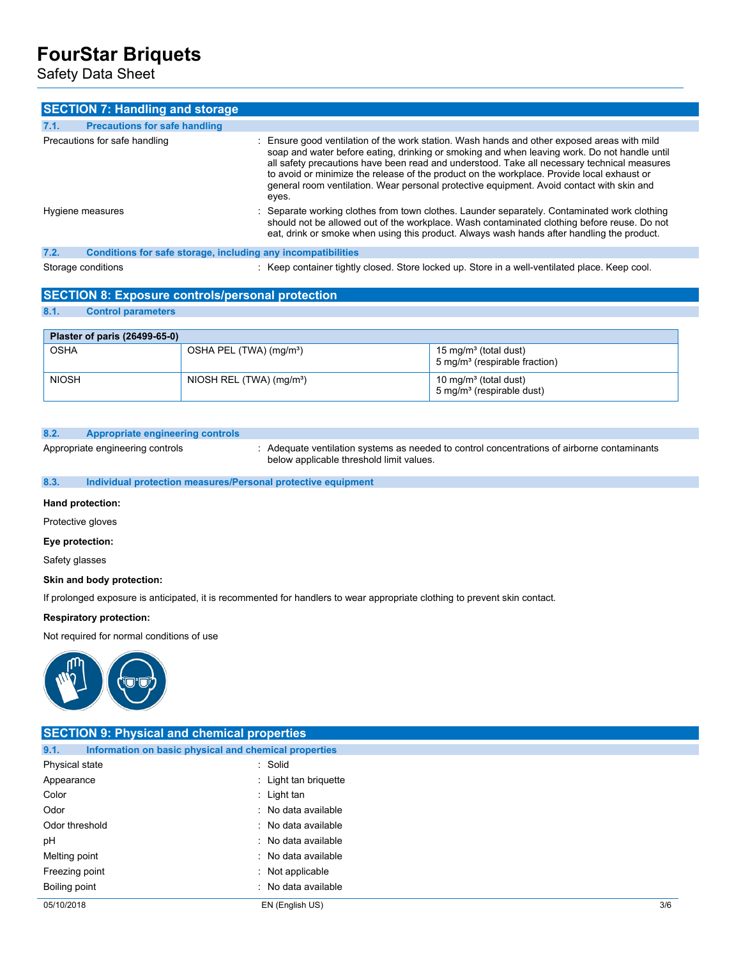Safety Data Sheet

| <b>SECTION 7: Handling and storage</b>                               |                                                                                                                                                                                                                                                                                                                                                                                                                                                                                                |
|----------------------------------------------------------------------|------------------------------------------------------------------------------------------------------------------------------------------------------------------------------------------------------------------------------------------------------------------------------------------------------------------------------------------------------------------------------------------------------------------------------------------------------------------------------------------------|
| 7.1.<br><b>Precautions for safe handling</b>                         |                                                                                                                                                                                                                                                                                                                                                                                                                                                                                                |
| Precautions for safe handling                                        | : Ensure good ventilation of the work station. Wash hands and other exposed areas with mild<br>soap and water before eating, drinking or smoking and when leaving work. Do not handle until<br>all safety precautions have been read and understood. Take all necessary technical measures<br>to avoid or minimize the release of the product on the workplace. Provide local exhaust or<br>general room ventilation. Wear personal protective equipment. Avoid contact with skin and<br>eyes. |
| Hygiene measures                                                     | : Separate working clothes from town clothes. Launder separately. Contaminated work clothing<br>should not be allowed out of the workplace. Wash contaminated clothing before reuse. Do not<br>eat, drink or smoke when using this product. Always wash hands after handling the product.                                                                                                                                                                                                      |
| 7.2.<br>Conditions for safe storage, including any incompatibilities |                                                                                                                                                                                                                                                                                                                                                                                                                                                                                                |
| Storage conditions                                                   | : Keep container tightly closed. Store locked up. Store in a well-ventilated place. Keep cool.                                                                                                                                                                                                                                                                                                                                                                                                 |

### **SECTION 8: Exposure controls/personal protection**

### **8.1. Control parameters**

| Plaster of paris (26499-65-0) |                                      |                                                                                |
|-------------------------------|--------------------------------------|--------------------------------------------------------------------------------|
| <b>OSHA</b>                   | OSHA PEL (TWA) (mg/m <sup>3</sup> )  | 15 mg/m <sup>3</sup> (total dust)<br>5 mg/m <sup>3</sup> (respirable fraction) |
| <b>NIOSH</b>                  | NIOSH REL (TWA) (mg/m <sup>3</sup> ) | 10 mg/m <sup>3</sup> (total dust)<br>5 mg/m <sup>3</sup> (respirable dust)     |

### **8.2. Appropriate engineering controls**

Appropriate engineering controls : Adequate ventilation systems as needed to control concentrations of airborne contaminants below applicable threshold limit values.

### **8.3. Individual protection measures/Personal protective equipment**

#### **Hand protection:**

Protective gloves

#### **Eye protection:**

Safety glasses

### **Skin and body protection:**

If prolonged exposure is anticipated, it is recommented for handlers to wear appropriate clothing to prevent skin contact.

### **Respiratory protection:**

Not required for normal conditions of use



| <b>SECTION 9: Physical and chemical properties</b> |                                                       |     |
|----------------------------------------------------|-------------------------------------------------------|-----|
| 9.1.                                               | Information on basic physical and chemical properties |     |
| Physical state                                     | : Solid                                               |     |
| Appearance                                         | : Light tan briquette                                 |     |
| Color                                              | : Light tan                                           |     |
| Odor                                               | : No data available                                   |     |
| Odor threshold                                     | : No data available                                   |     |
| рH                                                 | : No data available                                   |     |
| Melting point                                      | : No data available                                   |     |
| Freezing point                                     | : Not applicable                                      |     |
| Boiling point                                      | : No data available                                   |     |
| 05/10/2018                                         | EN (English US)                                       | 3/6 |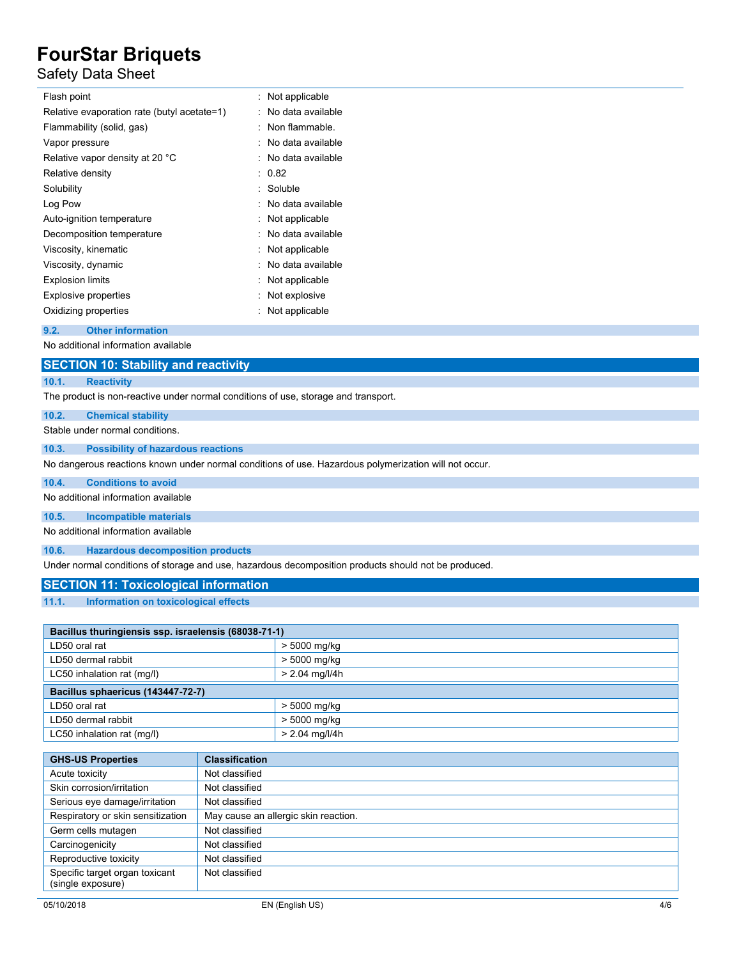### Safety Data Sheet

| Flash point                                 | : Not applicable    |
|---------------------------------------------|---------------------|
| Relative evaporation rate (butyl acetate=1) | No data available   |
| Flammability (solid, gas)                   | Non flammable.      |
| Vapor pressure                              | : No data available |
| Relative vapor density at 20 °C             | : No data available |
| Relative density                            | : 0.82              |
| Solubility                                  | : Soluble           |
| Log Pow                                     | : No data available |
| Auto-ignition temperature                   | : Not applicable    |
| Decomposition temperature                   | : No data available |
| Viscosity, kinematic                        | : Not applicable    |
| Viscosity, dynamic                          | No data available   |
| <b>Explosion limits</b>                     | : Not applicable    |
| <b>Explosive properties</b>                 | Not explosive       |
| Oxidizing properties                        | Not applicable      |
|                                             |                     |

### **9.2. Other information**

No additional information available

|       | <b>SECTION 10: Stability and reactivity</b>                                        |
|-------|------------------------------------------------------------------------------------|
| 10.1. | <b>Reactivity</b>                                                                  |
|       | The product is non-reactive under normal conditions of use, storage and transport. |
| 10.2. | <b>Chemical stability</b>                                                          |

Stable under normal conditions.

**10.3. Possibility of hazardous reactions**

No dangerous reactions known under normal conditions of use. Hazardous polymerization will not occur.

**10.4. Conditions to avoid**

No additional information available

**10.5. Incompatible materials**

No additional information available

**10.6. Hazardous decomposition products**

Under normal conditions of storage and use, hazardous decomposition products should not be produced.

### **SECTION 11: Toxicological information**

### **11.1. Information on toxicological effects**

| Bacillus thuringiensis ssp. israelensis (68038-71-1) |                  |  |
|------------------------------------------------------|------------------|--|
| LD50 oral rat                                        | > 5000 mg/kg     |  |
| LD50 dermal rabbit                                   | > 5000 mg/kg     |  |
| LC50 inhalation rat (mg/l)                           | $> 2.04$ mg/l/4h |  |
| Bacillus sphaericus (143447-72-7)                    |                  |  |
| LD50 oral rat                                        | > 5000 mg/kg     |  |
| LD50 dermal rabbit                                   | > 5000 mg/kg     |  |
| LC50 inhalation rat (mg/l)                           | $> 2.04$ mg/l/4h |  |

| <b>GHS-US Properties</b>                            | <b>Classification</b>                |
|-----------------------------------------------------|--------------------------------------|
| Acute toxicity                                      | Not classified                       |
| Skin corrosion/irritation                           | Not classified                       |
| Serious eye damage/irritation                       | Not classified                       |
| Respiratory or skin sensitization                   | May cause an allergic skin reaction. |
| Germ cells mutagen                                  | Not classified                       |
| Carcinogenicity                                     | Not classified                       |
| Reproductive toxicity                               | Not classified                       |
| Specific target organ toxicant<br>(single exposure) | Not classified                       |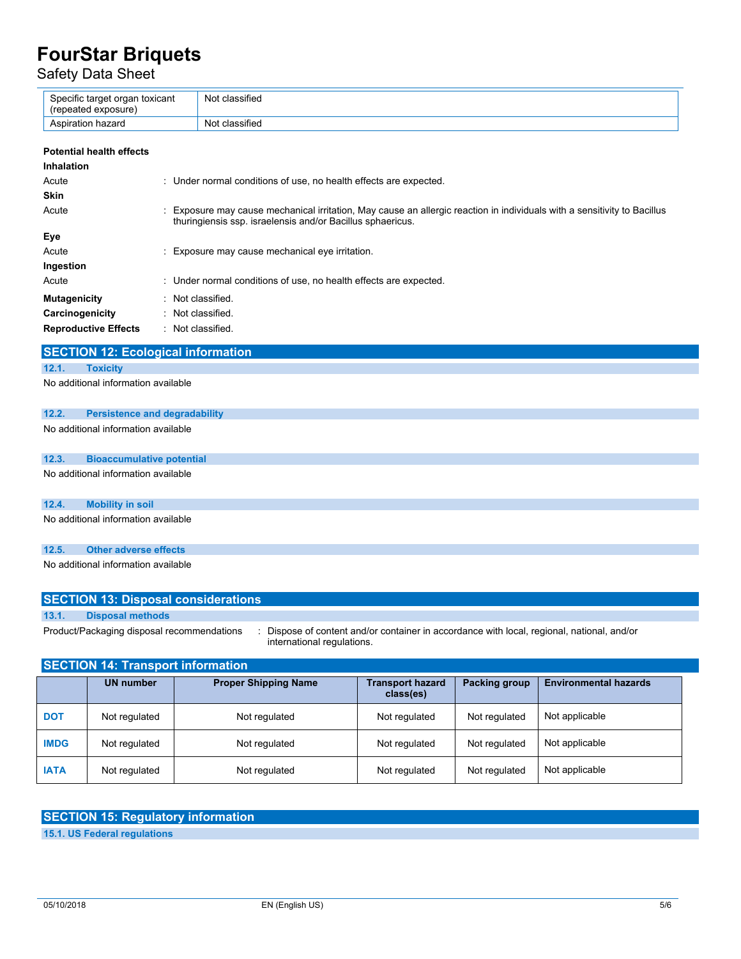Safety Data Sheet

| Specific target organ toxicant<br>(repeated exposure) | Not classified |
|-------------------------------------------------------|----------------|
| Aspiration hazard                                     | Not classified |
|                                                       |                |

| <b>Potential health effects</b> |                                                                                                                                                                                        |
|---------------------------------|----------------------------------------------------------------------------------------------------------------------------------------------------------------------------------------|
| <b>Inhalation</b>               |                                                                                                                                                                                        |
| Acute                           | : Under normal conditions of use, no health effects are expected.                                                                                                                      |
| <b>Skin</b>                     |                                                                                                                                                                                        |
| Acute                           | : Exposure may cause mechanical irritation, May cause an allergic reaction in individuals with a sensitivity to Bacillus<br>thuringiensis ssp. israelensis and/or Bacillus sphaericus. |
| Eye                             |                                                                                                                                                                                        |
| Acute                           | : Exposure may cause mechanical eye irritation.                                                                                                                                        |
| Ingestion                       |                                                                                                                                                                                        |
| Acute                           | : Under normal conditions of use, no health effects are expected.                                                                                                                      |
| <b>Mutagenicity</b>             | : Not classified.                                                                                                                                                                      |
| Carcinogenicity                 | : Not classified.                                                                                                                                                                      |
| <b>Reproductive Effects</b>     | : Not classified.                                                                                                                                                                      |

### **SECTION 12: Ecological information**

#### **12.1. Toxicity**

No additional information available

### **12.2. Persistence and degradability**

No additional information available

### **12.3. Bioaccumulative potential**

No additional information available

### **12.4. Mobility in soil**

No additional information available

### **12.5. Other adverse effects**

No additional information available

|                 | <b>SECTION 13: Disposal considerations</b>      |  |  |  |
|-----------------|-------------------------------------------------|--|--|--|
|                 |                                                 |  |  |  |
| $\overline{AB}$ | <b>Industrial and the contract of the state</b> |  |  |  |

**13.1. Disposal methods**

Product/Packaging disposal recommendations : Dispose of content and/or container in accordance with local, regional, national, and/or international regulations.

| <b>SECTION 14: Transport information</b> |                  |                             |                                      |               |                              |
|------------------------------------------|------------------|-----------------------------|--------------------------------------|---------------|------------------------------|
|                                          | <b>UN number</b> | <b>Proper Shipping Name</b> | <b>Transport hazard</b><br>class(es) | Packing group | <b>Environmental hazards</b> |
| <b>DOT</b>                               | Not regulated    | Not regulated               | Not regulated                        | Not regulated | Not applicable               |
| <b>IMDG</b>                              | Not regulated    | Not regulated               | Not regulated                        | Not regulated | Not applicable               |
| <b>IATA</b>                              | Not regulated    | Not regulated               | Not regulated                        | Not regulated | Not applicable               |